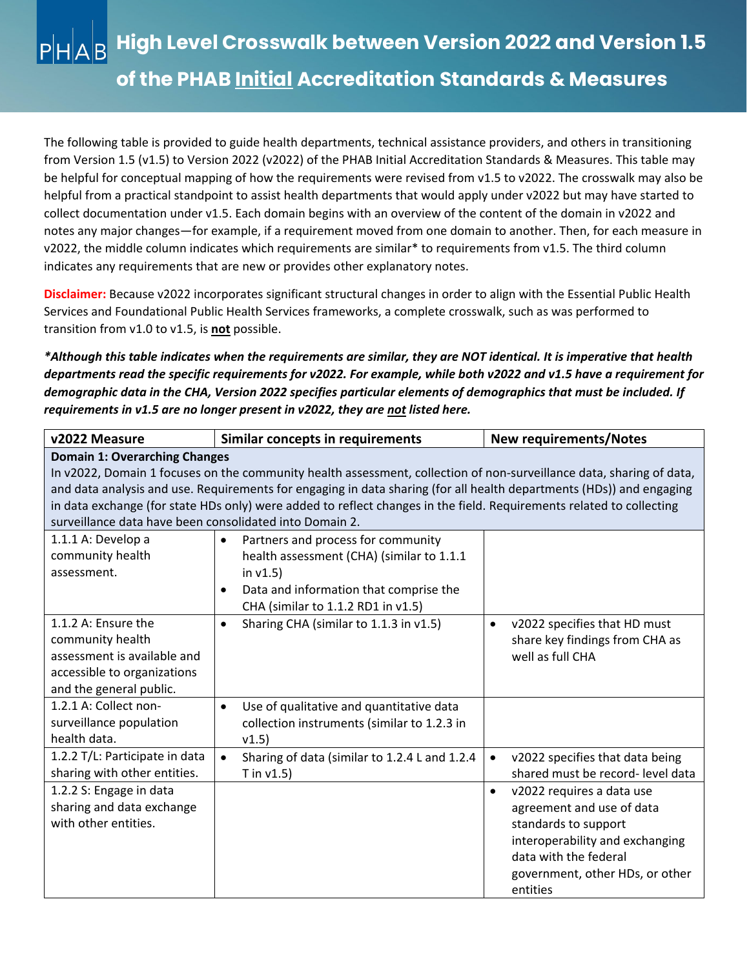The following table is provided to guide health departments, technical assistance providers, and others in transitioning from Version 1.5 (v1.5) to Version 2022 (v2022) of the PHAB Initial Accreditation Standards & Measures. This table may be helpful for conceptual mapping of how the requirements were revised from v1.5 to v2022. The crosswalk may also be helpful from a practical standpoint to assist health departments that would apply under v2022 but may have started to collect documentation under v1.5. Each domain begins with an overview of the content of the domain in v2022 and notes any major changes—for example, if a requirement moved from one domain to another. Then, for each measure in v2022, the middle column indicates which requirements are similar\* to requirements from v1.5. The third column indicates any requirements that are new or provides other explanatory notes.

**Disclaimer:** Because v2022 incorporates significant structural changes in order to align with the Essential Public Health Services and Foundational Public Health Services frameworks, a complete crosswalk, such as was performed to transition from v1.0 to v1.5, is **not** possible.

*\*Although this table indicates when the requirements are similar, they are NOT identical. It is imperative that health departments read the specific requirements for v2022. For example, while both v2022 and v1.5 have a requirement for demographic data in the CHA, Version 2022 specifies particular elements of demographics that must be included. If requirements in v1.5 are no longer present in v2022, they are not listed here.* 

| v2022 Measure                                                                                                        | Similar concepts in requirements                                                                                     | <b>New requirements/Notes</b>                |
|----------------------------------------------------------------------------------------------------------------------|----------------------------------------------------------------------------------------------------------------------|----------------------------------------------|
| <b>Domain 1: Overarching Changes</b>                                                                                 |                                                                                                                      |                                              |
| In v2022, Domain 1 focuses on the community health assessment, collection of non-surveillance data, sharing of data, |                                                                                                                      |                                              |
|                                                                                                                      | and data analysis and use. Requirements for engaging in data sharing (for all health departments (HDs)) and engaging |                                              |
|                                                                                                                      | in data exchange (for state HDs only) were added to reflect changes in the field. Requirements related to collecting |                                              |
| surveillance data have been consolidated into Domain 2.                                                              |                                                                                                                      |                                              |
| 1.1.1 A: Develop a                                                                                                   | Partners and process for community<br>$\bullet$                                                                      |                                              |
| community health                                                                                                     | health assessment (CHA) (similar to 1.1.1                                                                            |                                              |
| assessment.                                                                                                          | in $v1.5$ )                                                                                                          |                                              |
|                                                                                                                      | Data and information that comprise the<br>$\bullet$                                                                  |                                              |
|                                                                                                                      | CHA (similar to 1.1.2 RD1 in v1.5)                                                                                   |                                              |
| 1.1.2 A: Ensure the                                                                                                  | Sharing CHA (similar to 1.1.3 in v1.5)<br>$\bullet$                                                                  | v2022 specifies that HD must<br>$\bullet$    |
| community health                                                                                                     |                                                                                                                      | share key findings from CHA as               |
| assessment is available and                                                                                          |                                                                                                                      | well as full CHA                             |
| accessible to organizations                                                                                          |                                                                                                                      |                                              |
| and the general public.                                                                                              |                                                                                                                      |                                              |
| 1.2.1 A: Collect non-                                                                                                | Use of qualitative and quantitative data<br>$\bullet$                                                                |                                              |
| surveillance population                                                                                              | collection instruments (similar to 1.2.3 in                                                                          |                                              |
| health data.                                                                                                         | v1.5)                                                                                                                |                                              |
| 1.2.2 T/L: Participate in data                                                                                       | Sharing of data (similar to 1.2.4 L and 1.2.4<br>$\bullet$                                                           | v2022 specifies that data being<br>$\bullet$ |
| sharing with other entities.                                                                                         | T in $v1.5$ )                                                                                                        | shared must be record- level data            |
| 1.2.2 S: Engage in data                                                                                              |                                                                                                                      | v2022 requires a data use<br>$\bullet$       |
| sharing and data exchange                                                                                            |                                                                                                                      | agreement and use of data                    |
| with other entities.                                                                                                 |                                                                                                                      | standards to support                         |
|                                                                                                                      |                                                                                                                      | interoperability and exchanging              |
|                                                                                                                      |                                                                                                                      | data with the federal                        |
|                                                                                                                      |                                                                                                                      | government, other HDs, or other              |
|                                                                                                                      |                                                                                                                      | entities                                     |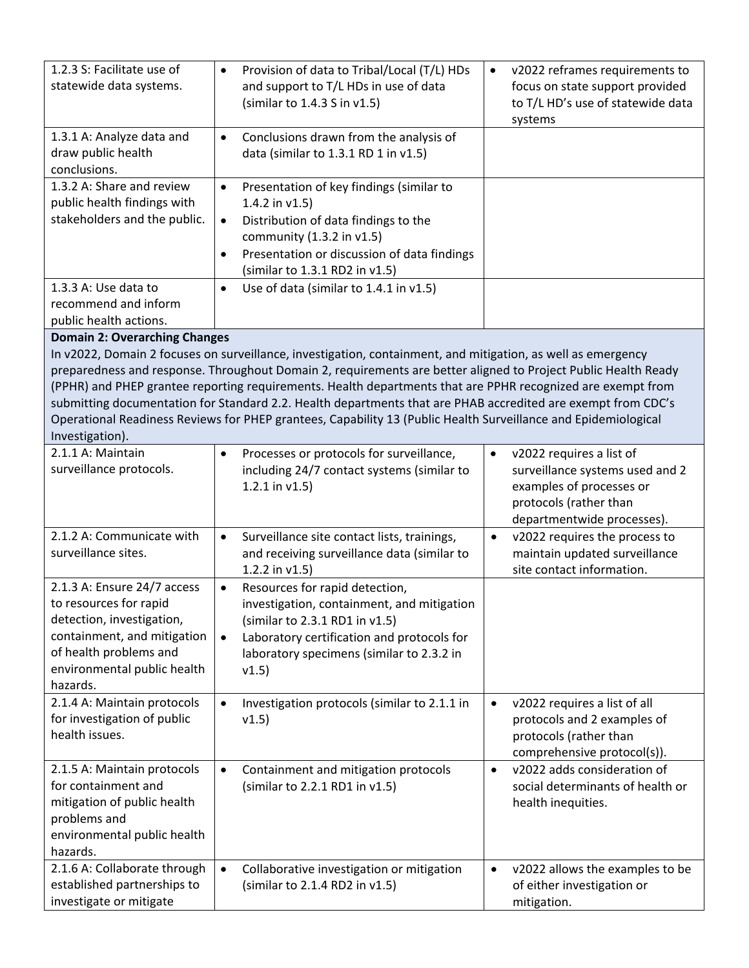| 1.2.3 S: Facilitate use of<br>statewide data systems.                                                                                                                                  | Provision of data to Tribal/Local (T/L) HDs<br>$\bullet$<br>and support to T/L HDs in use of data<br>(similar to $1.4.3$ S in $v1.5$ )                                                                                                                                                                                                                                                                                                                          | v2022 reframes requirements to<br>$\bullet$<br>focus on state support provided<br>to T/L HD's use of statewide data<br>systems                               |
|----------------------------------------------------------------------------------------------------------------------------------------------------------------------------------------|-----------------------------------------------------------------------------------------------------------------------------------------------------------------------------------------------------------------------------------------------------------------------------------------------------------------------------------------------------------------------------------------------------------------------------------------------------------------|--------------------------------------------------------------------------------------------------------------------------------------------------------------|
| 1.3.1 A: Analyze data and<br>draw public health<br>conclusions.                                                                                                                        | Conclusions drawn from the analysis of<br>$\bullet$<br>data (similar to 1.3.1 RD 1 in v1.5)                                                                                                                                                                                                                                                                                                                                                                     |                                                                                                                                                              |
| 1.3.2 A: Share and review<br>public health findings with<br>stakeholders and the public.                                                                                               | Presentation of key findings (similar to<br>$\bullet$<br>1.4.2 in $v1.5$ )<br>Distribution of data findings to the<br>$\bullet$<br>community $(1.3.2 \text{ in } v1.5)$<br>Presentation or discussion of data findings<br>$\bullet$<br>(similar to 1.3.1 RD2 in v1.5)                                                                                                                                                                                           |                                                                                                                                                              |
| 1.3.3 A: Use data to<br>recommend and inform<br>public health actions.                                                                                                                 | Use of data (similar to 1.4.1 in v1.5)<br>$\bullet$                                                                                                                                                                                                                                                                                                                                                                                                             |                                                                                                                                                              |
| <b>Domain 2: Overarching Changes</b>                                                                                                                                                   | In v2022, Domain 2 focuses on surveillance, investigation, containment, and mitigation, as well as emergency                                                                                                                                                                                                                                                                                                                                                    |                                                                                                                                                              |
| Investigation).                                                                                                                                                                        | preparedness and response. Throughout Domain 2, requirements are better aligned to Project Public Health Ready<br>(PPHR) and PHEP grantee reporting requirements. Health departments that are PPHR recognized are exempt from<br>submitting documentation for Standard 2.2. Health departments that are PHAB accredited are exempt from CDC's<br>Operational Readiness Reviews for PHEP grantees, Capability 13 (Public Health Surveillance and Epidemiological |                                                                                                                                                              |
| 2.1.1 A: Maintain<br>surveillance protocols.                                                                                                                                           | Processes or protocols for surveillance,<br>$\bullet$<br>including 24/7 contact systems (similar to<br>1.2.1 in $v1.5$ )                                                                                                                                                                                                                                                                                                                                        | v2022 requires a list of<br>$\bullet$<br>surveillance systems used and 2<br>examples of processes or<br>protocols (rather than<br>departmentwide processes). |
| 2.1.2 A: Communicate with<br>surveillance sites.                                                                                                                                       | Surveillance site contact lists, trainings,<br>$\bullet$<br>and receiving surveillance data (similar to<br>1.2.2 in $v1.5$ )                                                                                                                                                                                                                                                                                                                                    | v2022 requires the process to<br>$\bullet$<br>maintain updated surveillance<br>site contact information.                                                     |
| 2.1.3 A: Ensure 24/7 access<br>to resources for rapid<br>detection, investigation,<br>containment, and mitigation<br>of health problems and<br>environmental public health<br>hazards. | Resources for rapid detection,<br>$\bullet$<br>investigation, containment, and mitigation<br>(similar to 2.3.1 RD1 in v1.5)<br>Laboratory certification and protocols for<br>$\bullet$<br>laboratory specimens (similar to 2.3.2 in<br>v1.5)                                                                                                                                                                                                                    |                                                                                                                                                              |
| 2.1.4 A: Maintain protocols<br>for investigation of public<br>health issues.                                                                                                           | Investigation protocols (similar to 2.1.1 in<br>$\bullet$<br>v1.5)                                                                                                                                                                                                                                                                                                                                                                                              | v2022 requires a list of all<br>$\bullet$<br>protocols and 2 examples of<br>protocols (rather than<br>comprehensive protocol(s)).                            |
| 2.1.5 A: Maintain protocols<br>for containment and<br>mitigation of public health<br>problems and<br>environmental public health<br>hazards.                                           | Containment and mitigation protocols<br>$\bullet$<br>(similar to 2.2.1 RD1 in v1.5)                                                                                                                                                                                                                                                                                                                                                                             | v2022 adds consideration of<br>$\bullet$<br>social determinants of health or<br>health inequities.                                                           |
| 2.1.6 A: Collaborate through<br>established partnerships to<br>investigate or mitigate                                                                                                 | Collaborative investigation or mitigation<br>$\bullet$<br>(similar to 2.1.4 RD2 in v1.5)                                                                                                                                                                                                                                                                                                                                                                        | v2022 allows the examples to be<br>$\bullet$<br>of either investigation or<br>mitigation.                                                                    |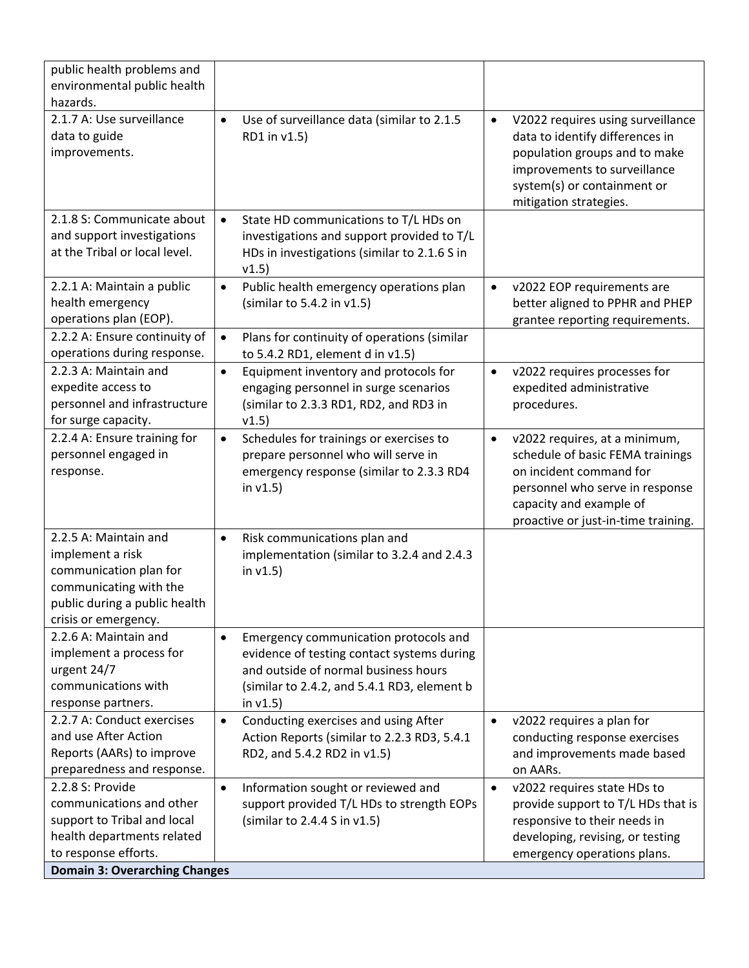| public health problems and                                  |                                                                                         |                                                |
|-------------------------------------------------------------|-----------------------------------------------------------------------------------------|------------------------------------------------|
| environmental public health                                 |                                                                                         |                                                |
| hazards.                                                    |                                                                                         |                                                |
| 2.1.7 A: Use surveillance                                   | Use of surveillance data (similar to 2.1.5<br>$\bullet$                                 | V2022 requires using surveillance<br>$\bullet$ |
| data to guide                                               | RD1 in v1.5)                                                                            | data to identify differences in                |
| improvements.                                               |                                                                                         | population groups and to make                  |
|                                                             |                                                                                         | improvements to surveillance                   |
|                                                             |                                                                                         | system(s) or containment or                    |
|                                                             |                                                                                         | mitigation strategies.                         |
| 2.1.8 S: Communicate about                                  | State HD communications to T/L HDs on<br>$\bullet$                                      |                                                |
| and support investigations<br>at the Tribal or local level. | investigations and support provided to T/L                                              |                                                |
|                                                             | HDs in investigations (similar to 2.1.6 S in<br>v1.5)                                   |                                                |
| 2.2.1 A: Maintain a public                                  | Public health emergency operations plan<br>$\bullet$                                    | v2022 EOP requirements are<br>$\bullet$        |
| health emergency                                            | (similar to 5.4.2 in v1.5)                                                              | better aligned to PPHR and PHEP                |
| operations plan (EOP).                                      |                                                                                         | grantee reporting requirements.                |
| 2.2.2 A: Ensure continuity of                               | Plans for continuity of operations (similar<br>$\bullet$                                |                                                |
| operations during response.                                 | to 5.4.2 RD1, element d in v1.5)                                                        |                                                |
| 2.2.3 A: Maintain and                                       | Equipment inventory and protocols for<br>$\bullet$                                      | v2022 requires processes for<br>$\bullet$      |
| expedite access to                                          | engaging personnel in surge scenarios                                                   | expedited administrative                       |
| personnel and infrastructure                                | (similar to 2.3.3 RD1, RD2, and RD3 in                                                  | procedures.                                    |
| for surge capacity.                                         | v1.5)                                                                                   |                                                |
| 2.2.4 A: Ensure training for                                | Schedules for trainings or exercises to<br>$\bullet$                                    | v2022 requires, at a minimum,<br>$\bullet$     |
| personnel engaged in                                        | prepare personnel who will serve in                                                     | schedule of basic FEMA trainings               |
| response.                                                   | emergency response (similar to 2.3.3 RD4                                                | on incident command for                        |
|                                                             | in $v1.5$ )                                                                             | personnel who serve in response                |
|                                                             |                                                                                         | capacity and example of                        |
| 2.2.5 A: Maintain and                                       |                                                                                         | proactive or just-in-time training.            |
| implement a risk                                            | Risk communications plan and<br>$\bullet$<br>implementation (similar to 3.2.4 and 2.4.3 |                                                |
| communication plan for                                      | in $v1.5$ )                                                                             |                                                |
| communicating with the                                      |                                                                                         |                                                |
| public during a public health                               |                                                                                         |                                                |
| crisis or emergency.                                        |                                                                                         |                                                |
| 2.2.6 A: Maintain and                                       | Emergency communication protocols and<br>$\bullet$                                      |                                                |
| implement a process for                                     | evidence of testing contact systems during                                              |                                                |
| urgent 24/7                                                 | and outside of normal business hours                                                    |                                                |
| communications with                                         | (similar to 2.4.2, and 5.4.1 RD3, element b                                             |                                                |
| response partners.                                          | in $v1.5$ )                                                                             |                                                |
| 2.2.7 A: Conduct exercises                                  | Conducting exercises and using After<br>$\bullet$                                       | v2022 requires a plan for<br>$\bullet$         |
| and use After Action                                        | Action Reports (similar to 2.2.3 RD3, 5.4.1                                             | conducting response exercises                  |
| Reports (AARs) to improve                                   | RD2, and 5.4.2 RD2 in v1.5)                                                             | and improvements made based                    |
| preparedness and response.                                  |                                                                                         | on AARs.                                       |
| 2.2.8 S: Provide                                            | Information sought or reviewed and<br>$\bullet$                                         | v2022 requires state HDs to<br>$\bullet$       |
| communications and other                                    | support provided T/L HDs to strength EOPs                                               | provide support to T/L HDs that is             |
| support to Tribal and local                                 | (similar to 2.4.4 S in v1.5)                                                            | responsive to their needs in                   |
| health departments related<br>to response efforts.          |                                                                                         | developing, revising, or testing               |
| <b>Domain 3: Overarching Changes</b>                        |                                                                                         | emergency operations plans.                    |
|                                                             |                                                                                         |                                                |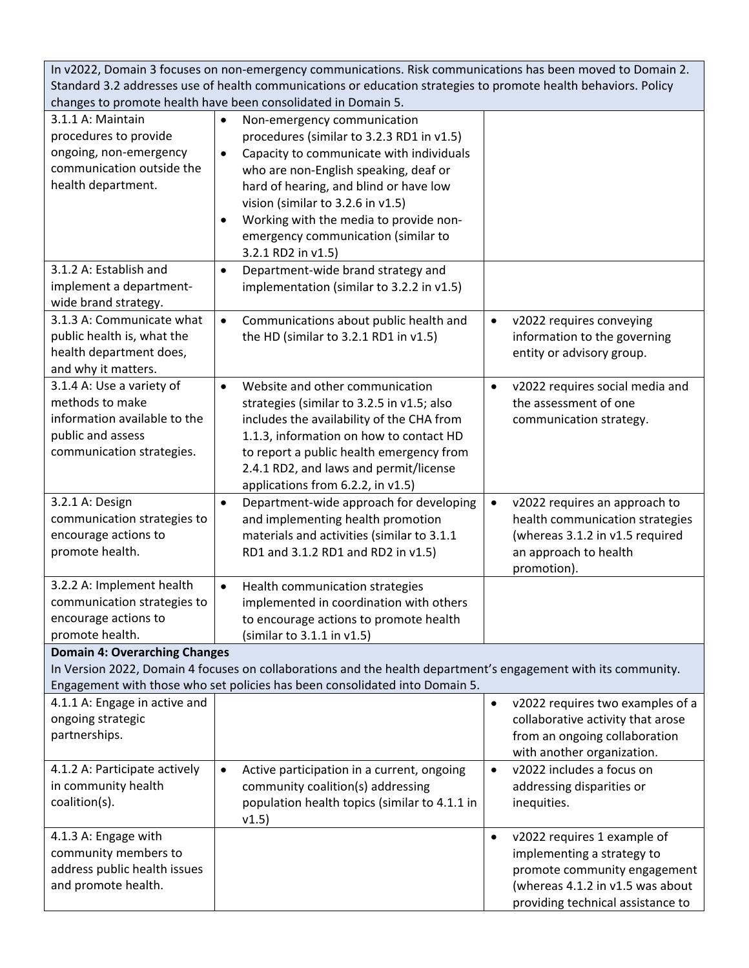In v2022, Domain 3 focuses on non-emergency communications. Risk communications has been moved to Domain 2. Standard 3.2 addresses use of health communications or education strategies to promote health behaviors. Policy changes to promote health have been consolidated in Domain 5.

| 3.1.1 A: Maintain<br>procedures to provide<br>ongoing, non-emergency<br>communication outside the<br>health department.                                | Non-emergency communication<br>$\bullet$<br>procedures (similar to 3.2.3 RD1 in v1.5)<br>Capacity to communicate with individuals<br>$\bullet$<br>who are non-English speaking, deaf or<br>hard of hearing, and blind or have low<br>vision (similar to 3.2.6 in v1.5)<br>Working with the media to provide non-<br>$\bullet$<br>emergency communication (similar to<br>3.2.1 RD2 in v1.5) |                                                                                                                                                                                 |
|--------------------------------------------------------------------------------------------------------------------------------------------------------|--------------------------------------------------------------------------------------------------------------------------------------------------------------------------------------------------------------------------------------------------------------------------------------------------------------------------------------------------------------------------------------------|---------------------------------------------------------------------------------------------------------------------------------------------------------------------------------|
| 3.1.2 A: Establish and<br>implement a department-<br>wide brand strategy.                                                                              | Department-wide brand strategy and<br>$\bullet$<br>implementation (similar to 3.2.2 in v1.5)                                                                                                                                                                                                                                                                                               |                                                                                                                                                                                 |
| 3.1.3 A: Communicate what<br>public health is, what the<br>health department does,<br>and why it matters.                                              | Communications about public health and<br>$\bullet$<br>the HD (similar to 3.2.1 RD1 in v1.5)                                                                                                                                                                                                                                                                                               | v2022 requires conveying<br>$\bullet$<br>information to the governing<br>entity or advisory group.                                                                              |
| 3.1.4 A: Use a variety of<br>methods to make<br>information available to the<br>public and assess<br>communication strategies.                         | Website and other communication<br>$\bullet$<br>strategies (similar to 3.2.5 in v1.5; also<br>includes the availability of the CHA from<br>1.1.3, information on how to contact HD<br>to report a public health emergency from<br>2.4.1 RD2, and laws and permit/license<br>applications from 6.2.2, in v1.5)                                                                              | v2022 requires social media and<br>$\bullet$<br>the assessment of one<br>communication strategy.                                                                                |
| 3.2.1 A: Design<br>communication strategies to<br>encourage actions to<br>promote health.                                                              | Department-wide approach for developing<br>$\bullet$<br>and implementing health promotion<br>materials and activities (similar to 3.1.1<br>RD1 and 3.1.2 RD1 and RD2 in v1.5)                                                                                                                                                                                                              | $\bullet$<br>v2022 requires an approach to<br>health communication strategies<br>(whereas 3.1.2 in v1.5 required<br>an approach to health<br>promotion).                        |
| 3.2.2 A: Implement health<br>communication strategies to<br>encourage actions to<br>promote health.                                                    | Health communication strategies<br>$\bullet$<br>implemented in coordination with others<br>to encourage actions to promote health<br>(similar to 3.1.1 in v1.5)                                                                                                                                                                                                                            |                                                                                                                                                                                 |
| <b>Domain 4: Overarching Changes</b><br>In Version 2022, Domain 4 focuses on collaborations and the health department's engagement with its community. |                                                                                                                                                                                                                                                                                                                                                                                            |                                                                                                                                                                                 |
|                                                                                                                                                        | Engagement with those who set policies has been consolidated into Domain 5.                                                                                                                                                                                                                                                                                                                |                                                                                                                                                                                 |
| 4.1.1 A: Engage in active and<br>ongoing strategic<br>partnerships.                                                                                    |                                                                                                                                                                                                                                                                                                                                                                                            | v2022 requires two examples of a<br>$\bullet$<br>collaborative activity that arose<br>from an ongoing collaboration<br>with another organization.                               |
| 4.1.2 A: Participate actively<br>in community health<br>coalition(s).                                                                                  | Active participation in a current, ongoing<br>$\bullet$<br>community coalition(s) addressing<br>population health topics (similar to 4.1.1 in<br>v1.5)                                                                                                                                                                                                                                     | v2022 includes a focus on<br>$\bullet$<br>addressing disparities or<br>inequities.                                                                                              |
| 4.1.3 A: Engage with<br>community members to<br>address public health issues<br>and promote health.                                                    |                                                                                                                                                                                                                                                                                                                                                                                            | v2022 requires 1 example of<br>$\bullet$<br>implementing a strategy to<br>promote community engagement<br>(whereas 4.1.2 in v1.5 was about<br>providing technical assistance to |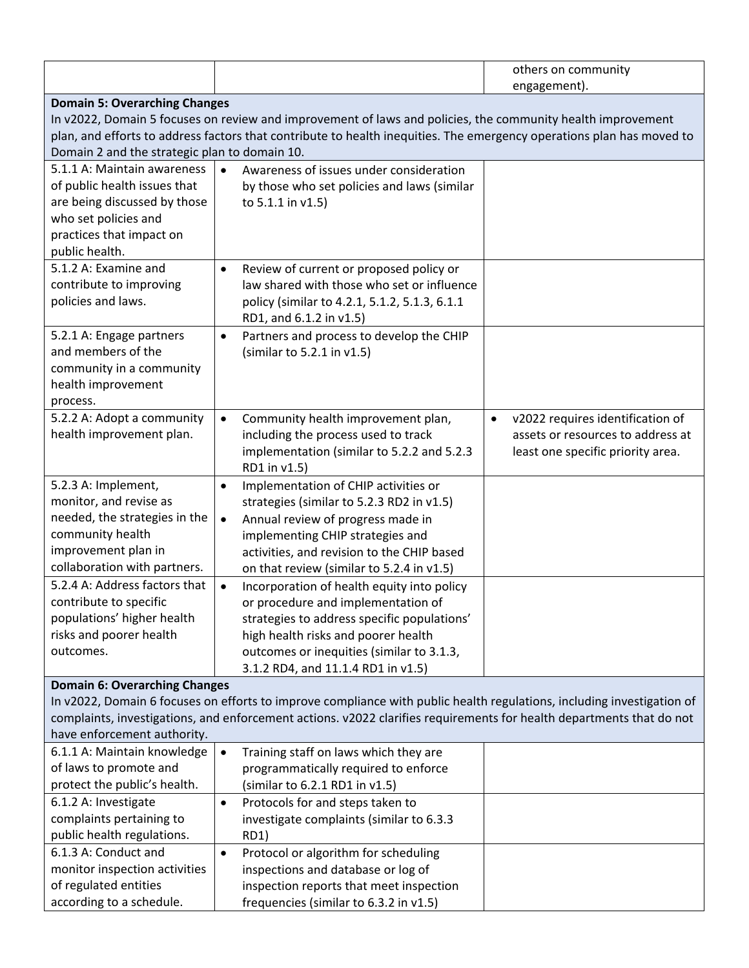|                                                                                                                                                     |                                                                                                                        | others on community                           |
|-----------------------------------------------------------------------------------------------------------------------------------------------------|------------------------------------------------------------------------------------------------------------------------|-----------------------------------------------|
|                                                                                                                                                     |                                                                                                                        | engagement).                                  |
| <b>Domain 5: Overarching Changes</b><br>In v2022, Domain 5 focuses on review and improvement of laws and policies, the community health improvement |                                                                                                                        |                                               |
|                                                                                                                                                     | plan, and efforts to address factors that contribute to health inequities. The emergency operations plan has moved to  |                                               |
| Domain 2 and the strategic plan to domain 10.                                                                                                       |                                                                                                                        |                                               |
| 5.1.1 A: Maintain awareness                                                                                                                         | Awareness of issues under consideration<br>$\bullet$                                                                   |                                               |
| of public health issues that                                                                                                                        | by those who set policies and laws (similar                                                                            |                                               |
| are being discussed by those                                                                                                                        |                                                                                                                        |                                               |
| who set policies and                                                                                                                                | to 5.1.1 in v1.5)                                                                                                      |                                               |
| practices that impact on                                                                                                                            |                                                                                                                        |                                               |
| public health.                                                                                                                                      |                                                                                                                        |                                               |
| 5.1.2 A: Examine and                                                                                                                                | Review of current or proposed policy or<br>$\bullet$                                                                   |                                               |
| contribute to improving                                                                                                                             | law shared with those who set or influence                                                                             |                                               |
| policies and laws.                                                                                                                                  | policy (similar to 4.2.1, 5.1.2, 5.1.3, 6.1.1                                                                          |                                               |
|                                                                                                                                                     | RD1, and 6.1.2 in v1.5)                                                                                                |                                               |
| 5.2.1 A: Engage partners                                                                                                                            | Partners and process to develop the CHIP                                                                               |                                               |
| and members of the                                                                                                                                  | $\bullet$<br>(similar to 5.2.1 in v1.5)                                                                                |                                               |
| community in a community                                                                                                                            |                                                                                                                        |                                               |
| health improvement                                                                                                                                  |                                                                                                                        |                                               |
| process.                                                                                                                                            |                                                                                                                        |                                               |
| 5.2.2 A: Adopt a community                                                                                                                          | Community health improvement plan,<br>$\bullet$                                                                        | v2022 requires identification of<br>$\bullet$ |
| health improvement plan.                                                                                                                            | including the process used to track                                                                                    | assets or resources to address at             |
|                                                                                                                                                     | implementation (similar to 5.2.2 and 5.2.3                                                                             | least one specific priority area.             |
|                                                                                                                                                     | RD1 in v1.5)                                                                                                           |                                               |
| 5.2.3 A: Implement,                                                                                                                                 | Implementation of CHIP activities or<br>$\bullet$                                                                      |                                               |
| monitor, and revise as                                                                                                                              | strategies (similar to 5.2.3 RD2 in v1.5)                                                                              |                                               |
| needed, the strategies in the                                                                                                                       | Annual review of progress made in<br>$\bullet$                                                                         |                                               |
| community health                                                                                                                                    | implementing CHIP strategies and                                                                                       |                                               |
| improvement plan in                                                                                                                                 | activities, and revision to the CHIP based                                                                             |                                               |
| collaboration with partners.                                                                                                                        | on that review (similar to 5.2.4 in v1.5)                                                                              |                                               |
| 5.2.4 A: Address factors that                                                                                                                       | Incorporation of health equity into policy<br>$\bullet$                                                                |                                               |
| contribute to specific                                                                                                                              | or procedure and implementation of                                                                                     |                                               |
| populations' higher health                                                                                                                          | strategies to address specific populations'                                                                            |                                               |
| risks and poorer health                                                                                                                             | high health risks and poorer health                                                                                    |                                               |
| outcomes.                                                                                                                                           | outcomes or inequities (similar to 3.1.3,                                                                              |                                               |
|                                                                                                                                                     | 3.1.2 RD4, and 11.1.4 RD1 in v1.5)                                                                                     |                                               |
| <b>Domain 6: Overarching Changes</b>                                                                                                                |                                                                                                                        |                                               |
|                                                                                                                                                     | In v2022, Domain 6 focuses on efforts to improve compliance with public health regulations, including investigation of |                                               |
|                                                                                                                                                     | complaints, investigations, and enforcement actions. v2022 clarifies requirements for health departments that do not   |                                               |
| have enforcement authority.                                                                                                                         |                                                                                                                        |                                               |
| 6.1.1 A: Maintain knowledge                                                                                                                         | Training staff on laws which they are<br>$\bullet$                                                                     |                                               |
| of laws to promote and                                                                                                                              | programmatically required to enforce                                                                                   |                                               |
| protect the public's health.                                                                                                                        | (similar to 6.2.1 RD1 in v1.5)                                                                                         |                                               |
| 6.1.2 A: Investigate                                                                                                                                | Protocols for and steps taken to<br>$\bullet$                                                                          |                                               |
| complaints pertaining to                                                                                                                            | investigate complaints (similar to 6.3.3                                                                               |                                               |
| public health regulations.                                                                                                                          | <b>RD1)</b>                                                                                                            |                                               |
| 6.1.3 A: Conduct and                                                                                                                                | Protocol or algorithm for scheduling<br>$\bullet$                                                                      |                                               |
| monitor inspection activities                                                                                                                       | inspections and database or log of                                                                                     |                                               |
| of regulated entities                                                                                                                               | inspection reports that meet inspection                                                                                |                                               |
| according to a schedule.                                                                                                                            | frequencies (similar to 6.3.2 in v1.5)                                                                                 |                                               |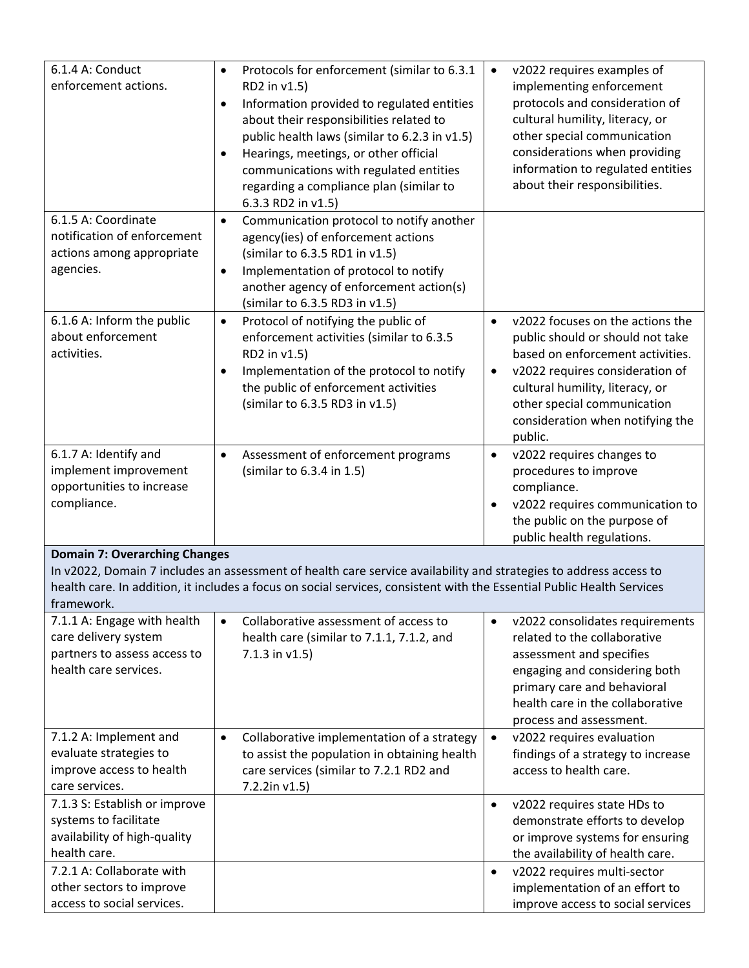| 6.1.4 A: Conduct<br>enforcement actions.                                                                     | Protocols for enforcement (similar to 6.3.1<br>$\bullet$<br>RD2 in v1.5)<br>Information provided to regulated entities<br>$\bullet$<br>about their responsibilities related to<br>public health laws (similar to 6.2.3 in v1.5)<br>Hearings, meetings, or other official<br>$\bullet$<br>communications with regulated entities<br>regarding a compliance plan (similar to<br>6.3.3 RD2 in v1.5) | v2022 requires examples of<br>$\bullet$<br>implementing enforcement<br>protocols and consideration of<br>cultural humility, literacy, or<br>other special communication<br>considerations when providing<br>information to regulated entities<br>about their responsibilities.         |
|--------------------------------------------------------------------------------------------------------------|--------------------------------------------------------------------------------------------------------------------------------------------------------------------------------------------------------------------------------------------------------------------------------------------------------------------------------------------------------------------------------------------------|----------------------------------------------------------------------------------------------------------------------------------------------------------------------------------------------------------------------------------------------------------------------------------------|
| 6.1.5 A: Coordinate<br>notification of enforcement<br>actions among appropriate<br>agencies.                 | Communication protocol to notify another<br>$\bullet$<br>agency(ies) of enforcement actions<br>(similar to 6.3.5 RD1 in v1.5)<br>Implementation of protocol to notify<br>$\bullet$<br>another agency of enforcement action(s)<br>(similar to 6.3.5 RD3 in v1.5)                                                                                                                                  |                                                                                                                                                                                                                                                                                        |
| 6.1.6 A: Inform the public<br>about enforcement<br>activities.                                               | Protocol of notifying the public of<br>$\bullet$<br>enforcement activities (similar to 6.3.5<br>RD2 in v1.5)<br>Implementation of the protocol to notify<br>$\bullet$<br>the public of enforcement activities<br>(similar to 6.3.5 RD3 in v1.5)                                                                                                                                                  | v2022 focuses on the actions the<br>$\bullet$<br>public should or should not take<br>based on enforcement activities.<br>v2022 requires consideration of<br>$\bullet$<br>cultural humility, literacy, or<br>other special communication<br>consideration when notifying the<br>public. |
| 6.1.7 A: Identify and<br>implement improvement<br>opportunities to increase<br>compliance.                   | Assessment of enforcement programs<br>$\bullet$<br>(similar to 6.3.4 in 1.5)                                                                                                                                                                                                                                                                                                                     | v2022 requires changes to<br>$\bullet$<br>procedures to improve<br>compliance.<br>v2022 requires communication to<br>the public on the purpose of<br>public health regulations.                                                                                                        |
| <b>Domain 7: Overarching Changes</b><br>framework.                                                           | In v2022, Domain 7 includes an assessment of health care service availability and strategies to address access to<br>health care. In addition, it includes a focus on social services, consistent with the Essential Public Health Services                                                                                                                                                      |                                                                                                                                                                                                                                                                                        |
| 7.1.1 A: Engage with health<br>care delivery system<br>partners to assess access to<br>health care services. | Collaborative assessment of access to<br>$\bullet$<br>health care (similar to 7.1.1, 7.1.2, and<br>$7.1.3$ in $v1.5$ )                                                                                                                                                                                                                                                                           | v2022 consolidates requirements<br>$\bullet$<br>related to the collaborative<br>assessment and specifies<br>engaging and considering both<br>primary care and behavioral<br>health care in the collaborative<br>process and assessment.                                                |
| 7.1.2 A: Implement and<br>evaluate strategies to<br>improve access to health<br>care services.               | Collaborative implementation of a strategy<br>$\bullet$<br>to assist the population in obtaining health<br>care services (similar to 7.2.1 RD2 and<br>7.2.2in v1.5)                                                                                                                                                                                                                              | v2022 requires evaluation<br>$\bullet$<br>findings of a strategy to increase<br>access to health care.                                                                                                                                                                                 |
| 7.1.3 S: Establish or improve<br>systems to facilitate<br>availability of high-quality<br>health care.       |                                                                                                                                                                                                                                                                                                                                                                                                  | v2022 requires state HDs to<br>$\bullet$<br>demonstrate efforts to develop<br>or improve systems for ensuring<br>the availability of health care.                                                                                                                                      |
| 7.2.1 A: Collaborate with<br>other sectors to improve<br>access to social services.                          |                                                                                                                                                                                                                                                                                                                                                                                                  | v2022 requires multi-sector<br>$\bullet$<br>implementation of an effort to<br>improve access to social services                                                                                                                                                                        |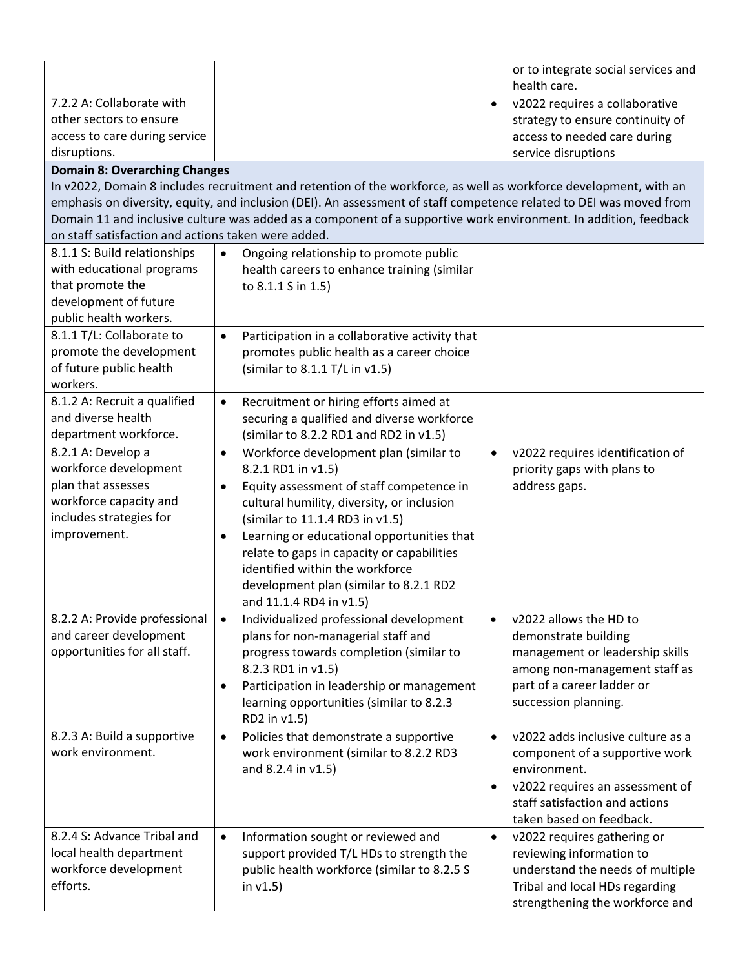|                                                                                       |                                                                                                                     | or to integrate social services and<br>health care.                                                             |
|---------------------------------------------------------------------------------------|---------------------------------------------------------------------------------------------------------------------|-----------------------------------------------------------------------------------------------------------------|
| 7.2.2 A: Collaborate with<br>other sectors to ensure<br>access to care during service |                                                                                                                     | v2022 requires a collaborative<br>$\bullet$<br>strategy to ensure continuity of<br>access to needed care during |
| disruptions.                                                                          |                                                                                                                     | service disruptions                                                                                             |
| <b>Domain 8: Overarching Changes</b>                                                  |                                                                                                                     |                                                                                                                 |
|                                                                                       | In v2022, Domain 8 includes recruitment and retention of the workforce, as well as workforce development, with an   |                                                                                                                 |
|                                                                                       | emphasis on diversity, equity, and inclusion (DEI). An assessment of staff competence related to DEI was moved from |                                                                                                                 |
| on staff satisfaction and actions taken were added.                                   | Domain 11 and inclusive culture was added as a component of a supportive work environment. In addition, feedback    |                                                                                                                 |
| 8.1.1 S: Build relationships                                                          | Ongoing relationship to promote public<br>$\bullet$                                                                 |                                                                                                                 |
| with educational programs                                                             | health careers to enhance training (similar                                                                         |                                                                                                                 |
| that promote the                                                                      | to 8.1.1 S in 1.5)                                                                                                  |                                                                                                                 |
| development of future                                                                 |                                                                                                                     |                                                                                                                 |
| public health workers.                                                                |                                                                                                                     |                                                                                                                 |
| 8.1.1 T/L: Collaborate to<br>promote the development                                  | Participation in a collaborative activity that<br>$\bullet$                                                         |                                                                                                                 |
| of future public health                                                               | promotes public health as a career choice<br>(similar to 8.1.1 T/L in v1.5)                                         |                                                                                                                 |
| workers.                                                                              |                                                                                                                     |                                                                                                                 |
| 8.1.2 A: Recruit a qualified                                                          | Recruitment or hiring efforts aimed at<br>$\bullet$                                                                 |                                                                                                                 |
| and diverse health                                                                    | securing a qualified and diverse workforce                                                                          |                                                                                                                 |
| department workforce.                                                                 | (similar to 8.2.2 RD1 and RD2 in v1.5)                                                                              |                                                                                                                 |
| 8.2.1 A: Develop a                                                                    | Workforce development plan (similar to<br>$\bullet$                                                                 | v2022 requires identification of<br>$\bullet$                                                                   |
| workforce development                                                                 | 8.2.1 RD1 in v1.5)                                                                                                  | priority gaps with plans to                                                                                     |
| plan that assesses                                                                    | Equity assessment of staff competence in<br>$\bullet$                                                               | address gaps.                                                                                                   |
| workforce capacity and                                                                | cultural humility, diversity, or inclusion                                                                          |                                                                                                                 |
| includes strategies for                                                               | (similar to 11.1.4 RD3 in v1.5)                                                                                     |                                                                                                                 |
| improvement.                                                                          | Learning or educational opportunities that<br>$\bullet$                                                             |                                                                                                                 |
|                                                                                       | relate to gaps in capacity or capabilities                                                                          |                                                                                                                 |
|                                                                                       | identified within the workforce                                                                                     |                                                                                                                 |
|                                                                                       | development plan (similar to 8.2.1 RD2                                                                              |                                                                                                                 |
|                                                                                       | and 11.1.4 RD4 in v1.5)                                                                                             |                                                                                                                 |
| 8.2.2 A: Provide professional                                                         | Individualized professional development<br>$\bullet$                                                                | v2022 allows the HD to<br>٠                                                                                     |
| and career development                                                                | plans for non-managerial staff and                                                                                  | demonstrate building                                                                                            |
| opportunities for all staff.                                                          | progress towards completion (similar to                                                                             | management or leadership skills                                                                                 |
|                                                                                       | 8.2.3 RD1 in v1.5)                                                                                                  | among non-management staff as                                                                                   |
|                                                                                       | Participation in leadership or management<br>٠                                                                      | part of a career ladder or                                                                                      |
|                                                                                       | learning opportunities (similar to 8.2.3                                                                            | succession planning.                                                                                            |
|                                                                                       | RD2 in v1.5)                                                                                                        |                                                                                                                 |
| 8.2.3 A: Build a supportive                                                           | Policies that demonstrate a supportive<br>$\bullet$                                                                 | v2022 adds inclusive culture as a<br>$\bullet$                                                                  |
| work environment.                                                                     | work environment (similar to 8.2.2 RD3<br>and 8.2.4 in v1.5)                                                        | component of a supportive work<br>environment.                                                                  |
|                                                                                       |                                                                                                                     |                                                                                                                 |
|                                                                                       |                                                                                                                     | v2022 requires an assessment of<br>$\bullet$<br>staff satisfaction and actions                                  |
|                                                                                       |                                                                                                                     | taken based on feedback.                                                                                        |
| 8.2.4 S: Advance Tribal and                                                           | Information sought or reviewed and<br>$\bullet$                                                                     | v2022 requires gathering or<br>$\bullet$                                                                        |
| local health department                                                               | support provided T/L HDs to strength the                                                                            | reviewing information to                                                                                        |
| workforce development                                                                 | public health workforce (similar to 8.2.5 S                                                                         | understand the needs of multiple                                                                                |
| efforts.                                                                              | in $v1.5$ )                                                                                                         | Tribal and local HDs regarding                                                                                  |
|                                                                                       |                                                                                                                     | strengthening the workforce and                                                                                 |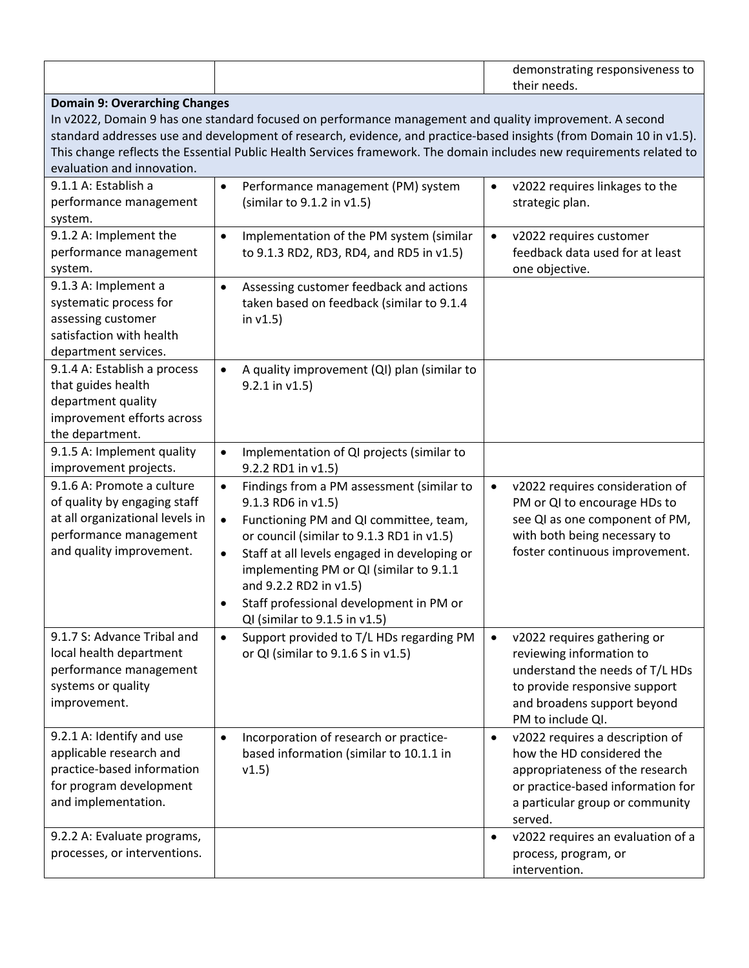|                                                                                                                                                                                                                                                                                                                                                                                                                              |                                                                                                                                                                                                                                                                                                                                                                                                | demonstrating responsiveness to<br>their needs.                                                                                                                                                 |
|------------------------------------------------------------------------------------------------------------------------------------------------------------------------------------------------------------------------------------------------------------------------------------------------------------------------------------------------------------------------------------------------------------------------------|------------------------------------------------------------------------------------------------------------------------------------------------------------------------------------------------------------------------------------------------------------------------------------------------------------------------------------------------------------------------------------------------|-------------------------------------------------------------------------------------------------------------------------------------------------------------------------------------------------|
| <b>Domain 9: Overarching Changes</b><br>In v2022, Domain 9 has one standard focused on performance management and quality improvement. A second<br>standard addresses use and development of research, evidence, and practice-based insights (from Domain 10 in v1.5).<br>This change reflects the Essential Public Health Services framework. The domain includes new requirements related to<br>evaluation and innovation. |                                                                                                                                                                                                                                                                                                                                                                                                |                                                                                                                                                                                                 |
| 9.1.1 A: Establish a<br>performance management<br>system.                                                                                                                                                                                                                                                                                                                                                                    | Performance management (PM) system<br>$\bullet$<br>(similar to 9.1.2 in v1.5)                                                                                                                                                                                                                                                                                                                  | v2022 requires linkages to the<br>$\bullet$<br>strategic plan.                                                                                                                                  |
| 9.1.2 A: Implement the<br>performance management<br>system.                                                                                                                                                                                                                                                                                                                                                                  | Implementation of the PM system (similar<br>$\bullet$<br>to 9.1.3 RD2, RD3, RD4, and RD5 in v1.5)                                                                                                                                                                                                                                                                                              | v2022 requires customer<br>$\bullet$<br>feedback data used for at least<br>one objective.                                                                                                       |
| 9.1.3 A: Implement a<br>systematic process for<br>assessing customer<br>satisfaction with health<br>department services.                                                                                                                                                                                                                                                                                                     | Assessing customer feedback and actions<br>$\bullet$<br>taken based on feedback (similar to 9.1.4<br>in $v1.5$ )                                                                                                                                                                                                                                                                               |                                                                                                                                                                                                 |
| 9.1.4 A: Establish a process<br>that guides health<br>department quality<br>improvement efforts across<br>the department.                                                                                                                                                                                                                                                                                                    | A quality improvement (QI) plan (similar to<br>$\bullet$<br>$9.2.1$ in $v1.5$ )                                                                                                                                                                                                                                                                                                                |                                                                                                                                                                                                 |
| 9.1.5 A: Implement quality<br>improvement projects.                                                                                                                                                                                                                                                                                                                                                                          | Implementation of QI projects (similar to<br>$\bullet$<br>9.2.2 RD1 in v1.5)                                                                                                                                                                                                                                                                                                                   |                                                                                                                                                                                                 |
| 9.1.6 A: Promote a culture<br>of quality by engaging staff<br>at all organizational levels in<br>performance management<br>and quality improvement.                                                                                                                                                                                                                                                                          | Findings from a PM assessment (similar to<br>$\bullet$<br>9.1.3 RD6 in v1.5)<br>Functioning PM and QI committee, team,<br>$\bullet$<br>or council (similar to 9.1.3 RD1 in v1.5)<br>Staff at all levels engaged in developing or<br>$\bullet$<br>implementing PM or QI (similar to 9.1.1<br>and 9.2.2 RD2 in v1.5)<br>Staff professional development in PM or<br>QI (similar to 9.1.5 in v1.5) | v2022 requires consideration of<br>$\bullet$<br>PM or QI to encourage HDs to<br>see QI as one component of PM,<br>with both being necessary to<br>foster continuous improvement.                |
| 9.1.7 S: Advance Tribal and<br>local health department<br>performance management<br>systems or quality<br>improvement.                                                                                                                                                                                                                                                                                                       | Support provided to T/L HDs regarding PM<br>$\bullet$<br>or QI (similar to 9.1.6 S in v1.5)                                                                                                                                                                                                                                                                                                    | v2022 requires gathering or<br>$\bullet$<br>reviewing information to<br>understand the needs of T/L HDs<br>to provide responsive support<br>and broadens support beyond<br>PM to include QI.    |
| 9.2.1 A: Identify and use<br>applicable research and<br>practice-based information<br>for program development<br>and implementation.                                                                                                                                                                                                                                                                                         | Incorporation of research or practice-<br>$\bullet$<br>based information (similar to 10.1.1 in<br>v1.5)                                                                                                                                                                                                                                                                                        | v2022 requires a description of<br>$\bullet$<br>how the HD considered the<br>appropriateness of the research<br>or practice-based information for<br>a particular group or community<br>served. |
| 9.2.2 A: Evaluate programs,<br>processes, or interventions.                                                                                                                                                                                                                                                                                                                                                                  |                                                                                                                                                                                                                                                                                                                                                                                                | v2022 requires an evaluation of a<br>$\bullet$<br>process, program, or<br>intervention.                                                                                                         |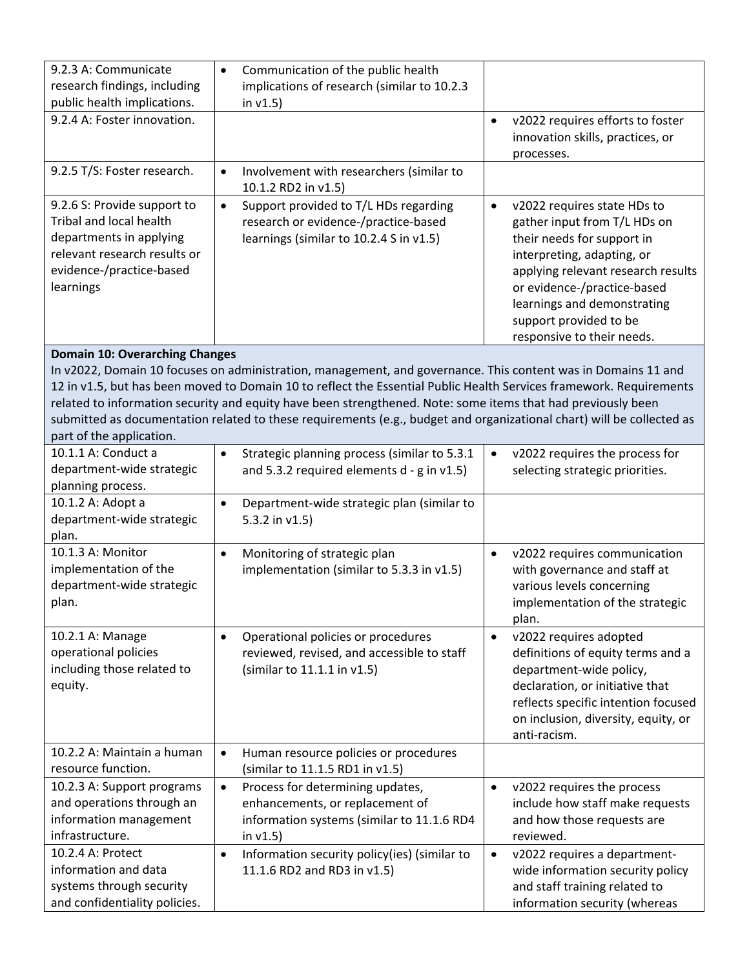| 9.2.3 A: Communicate<br>research findings, including                                                                                                                                                                                                                                                                                                                                                                                                                                                                                               | Communication of the public health<br>$\bullet$<br>implications of research (similar to 10.2.3                                                |                                                                                                                                                                                                                                                                                                  |
|----------------------------------------------------------------------------------------------------------------------------------------------------------------------------------------------------------------------------------------------------------------------------------------------------------------------------------------------------------------------------------------------------------------------------------------------------------------------------------------------------------------------------------------------------|-----------------------------------------------------------------------------------------------------------------------------------------------|--------------------------------------------------------------------------------------------------------------------------------------------------------------------------------------------------------------------------------------------------------------------------------------------------|
| public health implications.<br>9.2.4 A: Foster innovation.                                                                                                                                                                                                                                                                                                                                                                                                                                                                                         | in $v1.5$ )                                                                                                                                   | v2022 requires efforts to foster<br>$\bullet$                                                                                                                                                                                                                                                    |
|                                                                                                                                                                                                                                                                                                                                                                                                                                                                                                                                                    |                                                                                                                                               | innovation skills, practices, or<br>processes.                                                                                                                                                                                                                                                   |
| 9.2.5 T/S: Foster research.                                                                                                                                                                                                                                                                                                                                                                                                                                                                                                                        | Involvement with researchers (similar to<br>$\bullet$<br>10.1.2 RD2 in v1.5)                                                                  |                                                                                                                                                                                                                                                                                                  |
| 9.2.6 S: Provide support to<br>Tribal and local health<br>departments in applying<br>relevant research results or<br>evidence-/practice-based<br>learnings                                                                                                                                                                                                                                                                                                                                                                                         | Support provided to T/L HDs regarding<br>$\bullet$<br>research or evidence-/practice-based<br>learnings (similar to 10.2.4 S in v1.5)         | v2022 requires state HDs to<br>$\bullet$<br>gather input from T/L HDs on<br>their needs for support in<br>interpreting, adapting, or<br>applying relevant research results<br>or evidence-/practice-based<br>learnings and demonstrating<br>support provided to be<br>responsive to their needs. |
| <b>Domain 10: Overarching Changes</b><br>In v2022, Domain 10 focuses on administration, management, and governance. This content was in Domains 11 and<br>12 in v1.5, but has been moved to Domain 10 to reflect the Essential Public Health Services framework. Requirements<br>related to information security and equity have been strengthened. Note: some items that had previously been<br>submitted as documentation related to these requirements (e.g., budget and organizational chart) will be collected as<br>part of the application. |                                                                                                                                               |                                                                                                                                                                                                                                                                                                  |
| 10.1.1 A: Conduct a<br>department-wide strategic<br>planning process.                                                                                                                                                                                                                                                                                                                                                                                                                                                                              | Strategic planning process (similar to 5.3.1<br>$\bullet$<br>and 5.3.2 required elements $d - g$ in $v1.5$ )                                  | v2022 requires the process for<br>$\bullet$<br>selecting strategic priorities.                                                                                                                                                                                                                   |
| 10.1.2 A: Adopt a<br>department-wide strategic<br>plan.                                                                                                                                                                                                                                                                                                                                                                                                                                                                                            | Department-wide strategic plan (similar to<br>$\bullet$<br>5.3.2 in $v1.5$ )                                                                  |                                                                                                                                                                                                                                                                                                  |
| 10.1.3 A: Monitor<br>implementation of the<br>department-wide strategic<br>plan.                                                                                                                                                                                                                                                                                                                                                                                                                                                                   | Monitoring of strategic plan<br>$\bullet$<br>implementation (similar to 5.3.3 in v1.5)                                                        | v2022 requires communication<br>$\bullet$<br>with governance and staff at<br>various levels concerning<br>implementation of the strategic<br>plan.                                                                                                                                               |
| 10.2.1 A: Manage<br>operational policies<br>including those related to<br>equity.                                                                                                                                                                                                                                                                                                                                                                                                                                                                  | Operational policies or procedures<br>$\bullet$<br>reviewed, revised, and accessible to staff<br>(similar to 11.1.1 in v1.5)                  | $\bullet$<br>v2022 requires adopted<br>definitions of equity terms and a<br>department-wide policy,<br>declaration, or initiative that<br>reflects specific intention focused<br>on inclusion, diversity, equity, or<br>anti-racism.                                                             |
| 10.2.2 A: Maintain a human<br>resource function.                                                                                                                                                                                                                                                                                                                                                                                                                                                                                                   | Human resource policies or procedures<br>$\bullet$<br>(similar to 11.1.5 RD1 in v1.5)                                                         |                                                                                                                                                                                                                                                                                                  |
| 10.2.3 A: Support programs<br>and operations through an<br>information management<br>infrastructure.                                                                                                                                                                                                                                                                                                                                                                                                                                               | Process for determining updates,<br>$\bullet$<br>enhancements, or replacement of<br>information systems (similar to 11.1.6 RD4<br>in $v1.5$ ) | v2022 requires the process<br>$\bullet$<br>include how staff make requests<br>and how those requests are<br>reviewed.                                                                                                                                                                            |
| 10.2.4 A: Protect<br>information and data<br>systems through security<br>and confidentiality policies.                                                                                                                                                                                                                                                                                                                                                                                                                                             | Information security policy(ies) (similar to<br>$\bullet$<br>11.1.6 RD2 and RD3 in v1.5)                                                      | v2022 requires a department-<br>$\bullet$<br>wide information security policy<br>and staff training related to<br>information security (whereas                                                                                                                                                  |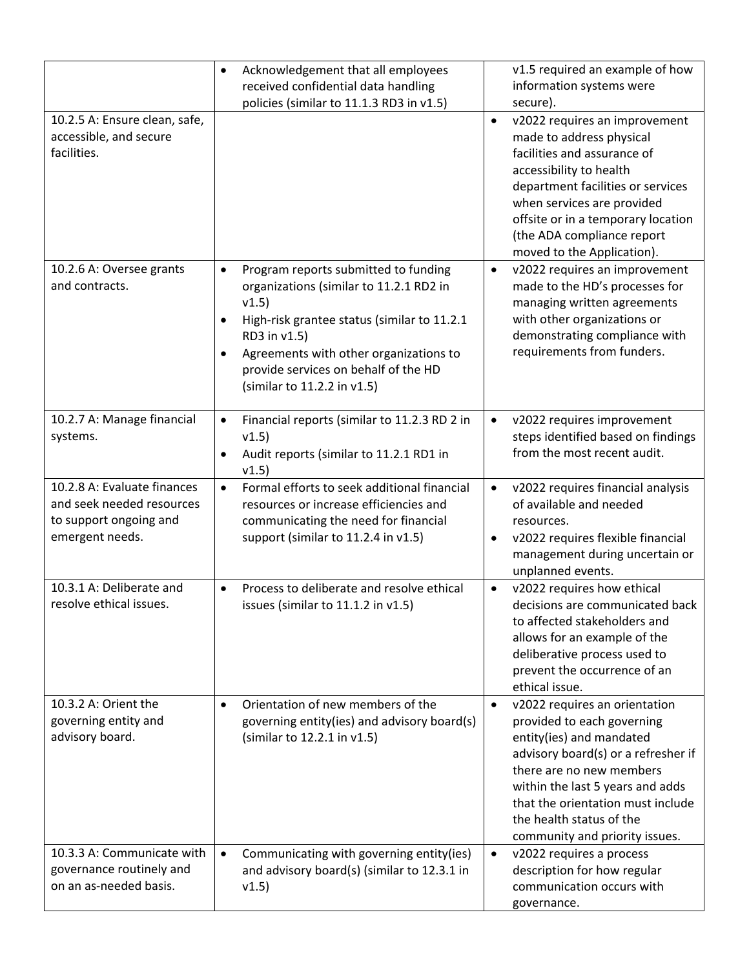| 10.2.5 A: Ensure clean, safe,<br>accessible, and secure<br>facilities.                                | Acknowledgement that all employees<br>$\bullet$<br>received confidential data handling<br>policies (similar to 11.1.3 RD3 in v1.5)                                                                                                                                                                              | v1.5 required an example of how<br>information systems were<br>secure).<br>v2022 requires an improvement<br>$\bullet$<br>made to address physical<br>facilities and assurance of<br>accessibility to health<br>department facilities or services<br>when services are provided<br>offsite or in a temporary location<br>(the ADA compliance report<br>moved to the Application). |
|-------------------------------------------------------------------------------------------------------|-----------------------------------------------------------------------------------------------------------------------------------------------------------------------------------------------------------------------------------------------------------------------------------------------------------------|----------------------------------------------------------------------------------------------------------------------------------------------------------------------------------------------------------------------------------------------------------------------------------------------------------------------------------------------------------------------------------|
| 10.2.6 A: Oversee grants<br>and contracts.                                                            | Program reports submitted to funding<br>$\bullet$<br>organizations (similar to 11.2.1 RD2 in<br>v1.5)<br>High-risk grantee status (similar to 11.2.1<br>$\bullet$<br>RD3 in v1.5)<br>Agreements with other organizations to<br>$\bullet$<br>provide services on behalf of the HD<br>(similar to 11.2.2 in v1.5) | v2022 requires an improvement<br>$\bullet$<br>made to the HD's processes for<br>managing written agreements<br>with other organizations or<br>demonstrating compliance with<br>requirements from funders.                                                                                                                                                                        |
| 10.2.7 A: Manage financial<br>systems.                                                                | Financial reports (similar to 11.2.3 RD 2 in<br>$\bullet$<br>v1.5)<br>Audit reports (similar to 11.2.1 RD1 in<br>$\bullet$<br>v1.5)                                                                                                                                                                             | v2022 requires improvement<br>$\bullet$<br>steps identified based on findings<br>from the most recent audit.                                                                                                                                                                                                                                                                     |
| 10.2.8 A: Evaluate finances<br>and seek needed resources<br>to support ongoing and<br>emergent needs. | Formal efforts to seek additional financial<br>$\bullet$<br>resources or increase efficiencies and<br>communicating the need for financial<br>support (similar to 11.2.4 in v1.5)                                                                                                                               | v2022 requires financial analysis<br>$\bullet$<br>of available and needed<br>resources.<br>v2022 requires flexible financial<br>$\bullet$<br>management during uncertain or<br>unplanned events.                                                                                                                                                                                 |
| 10.3.1 A: Deliberate and<br>resolve ethical issues.                                                   | Process to deliberate and resolve ethical<br>$\bullet$<br>issues (similar to $11.1.2$ in $v1.5$ )                                                                                                                                                                                                               | v2022 requires how ethical<br>$\bullet$<br>decisions are communicated back<br>to affected stakeholders and<br>allows for an example of the<br>deliberative process used to<br>prevent the occurrence of an<br>ethical issue.                                                                                                                                                     |
| 10.3.2 A: Orient the<br>governing entity and<br>advisory board.                                       | Orientation of new members of the<br>$\bullet$<br>governing entity(ies) and advisory board(s)<br>(similar to 12.2.1 in v1.5)                                                                                                                                                                                    | v2022 requires an orientation<br>$\bullet$<br>provided to each governing<br>entity(ies) and mandated<br>advisory board(s) or a refresher if<br>there are no new members<br>within the last 5 years and adds<br>that the orientation must include<br>the health status of the<br>community and priority issues.                                                                   |
| 10.3.3 A: Communicate with<br>governance routinely and<br>on an as-needed basis.                      | Communicating with governing entity(ies)<br>$\bullet$<br>and advisory board(s) (similar to 12.3.1 in<br>v1.5)                                                                                                                                                                                                   | v2022 requires a process<br>$\bullet$<br>description for how regular<br>communication occurs with<br>governance.                                                                                                                                                                                                                                                                 |